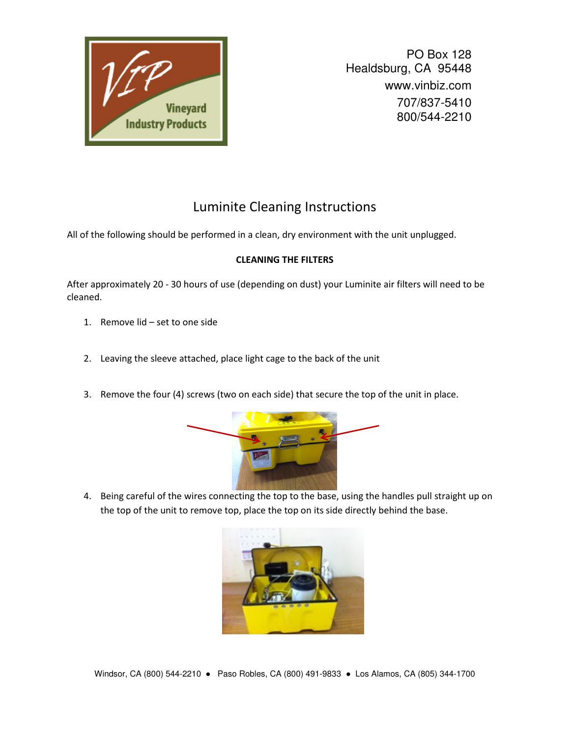

PO Box 128 Healdsburg, CA 95448 www.vinbiz.com 707/837-5410 800/544-2210

## Luminite Cleaning Instructions

All of the following should be performed in a clean, dry environment with the unit unplugged.

## **CLEANING THE FILTERS**

After approximately 20 - 30 hours of use (depending on dust) your Luminite air filters will need to be cleaned.

- 1. Remove lid set to one side
- 2. Leaving the sleeve attached, place light cage to the back of the unit
- 3. Remove the four (4) screws (two on each side) that secure the top of the unit in place.



4. Being careful of the wires connecting the top to the base, using the handles pull straight up on the top of the unit to remove top, place the top on its side directly behind the base.

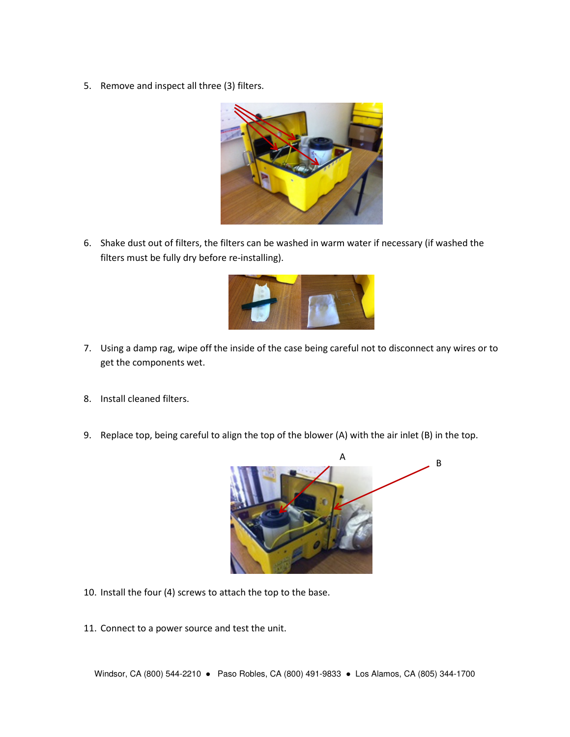5. Remove and inspect all three (3) filters.



6. Shake dust out of filters, the filters can be washed in warm water if necessary (if washed the filters must be fully dry before re-installing).



- 7. Using a damp rag, wipe off the inside of the case being careful not to disconnect any wires or to get the components wet.
- 8. Install cleaned filters.
- 9. Replace top, being careful to align the top of the blower (A) with the air inlet (B) in the top.



- 10. Install the four (4) screws to attach the top to the base.
- 11. Connect to a power source and test the unit.